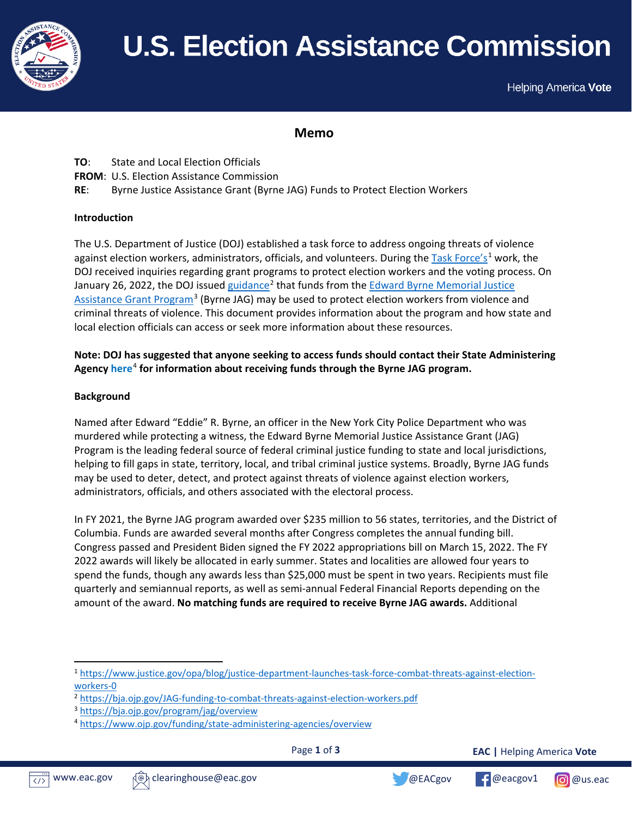

# **U.S. Election Assistance Commission**

Helping America Vote

# **Memo**

- **TO**: State and Local Election Officials
- **FROM**: U.S. Election Assistance Commission
- **RE**: Byrne Justice Assistance Grant (Byrne JAG) Funds to Protect Election Workers

## **Introduction**

The U.S. Department of Justice (DOJ) established a task force to address ongoing threats of violence against election workers, administrators, officials, and volunteers. During the [Task Force'](https://www.justice.gov/opa/blog/justice-department-launches-task-force-combat-threats-against-election-workers-0)s<sup>[1](#page-0-0)</sup> work, the DOJ received inquiries regarding grant programs to protect election workers and the voting process. On January 26, 2022, the DOJ issued [guidance](https://bja.ojp.gov/JAG-funding-to-combat-threats-against-election-workers.pdf)<sup>[2](#page-0-1)</sup> that funds from the Edward Byrne Memorial Justice [Assistance Grant Program](https://bja.ojp.gov/program/jag/overview)<sup>[3](#page-0-2)</sup> (Byrne JAG) may be used to protect election workers from violence and criminal threats of violence. This document provides information about the program and how state and local election officials can access or seek more information about these resources.

# **Note: DOJ has suggested that anyone seeking to access funds should contact their State Administering Agenc[y here](https://www.ojp.gov/funding/state-administering-agencies/overview)**[4](#page-0-3) **for information about receiving funds through the Byrne JAG program.**

## **Background**

Named after Edward "Eddie" R. Byrne, an officer in the New York City Police Department who was murdered while protecting a witness, the Edward Byrne Memorial Justice Assistance Grant (JAG) Program is the leading federal source of federal criminal justice funding to state and local jurisdictions, helping to fill gaps in state, territory, local, and tribal criminal justice systems. Broadly, Byrne JAG funds may be used to deter, detect, and protect against threats of violence against election workers, administrators, officials, and others associated with the electoral process.

In FY 2021, the Byrne JAG program awarded over \$235 million to 56 states, territories, and the District of Columbia. Funds are awarded several months after Congress completes the annual funding bill. Congress passed and President Biden signed the FY 2022 appropriations bill on March 15, 2022. The FY 2022 awards will likely be allocated in early summer. States and localities are allowed four years to spend the funds, though any awards less than \$25,000 must be spent in two years. Recipients must file quarterly and semiannual reports, as well as semi-annual Federal Financial Reports depending on the amount of the award. **No matching funds are required to receive Byrne JAG awards.** Additional

Page **1** of **3**



<span id="page-0-3"></span><span id="page-0-2"></span>





<span id="page-0-0"></span><sup>1</sup> [https://www.justice.gov/opa/blog/justice-department-launches-task-force-combat-threats-against-election](https://www.justice.gov/opa/blog/justice-department-launches-task-force-combat-threats-against-election-workers-0)[workers-](https://www.justice.gov/opa/blog/justice-department-launches-task-force-combat-threats-against-election-workers-0)0

<span id="page-0-1"></span><sup>2</sup> <https://bja.ojp.gov/JAG-funding-to-combat-threats-against-election-workers.pdf>

<sup>3</sup> <https://bja.ojp.gov/program/jag/overview>

<sup>4</sup> <https://www.ojp.gov/funding/state-administering-agencies/overview>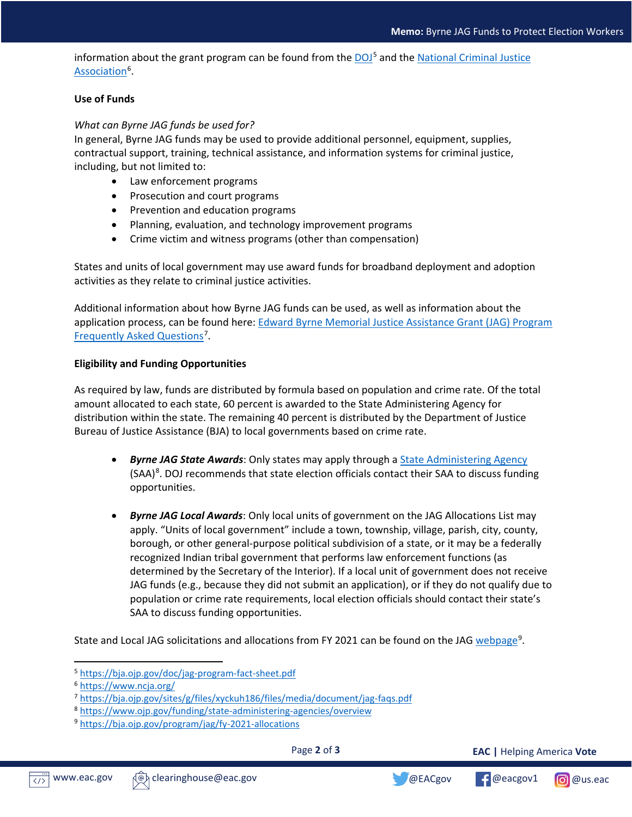information about the grant program can be found from the  $DOJ<sup>5</sup>$  $DOJ<sup>5</sup>$  $DOJ<sup>5</sup>$  and the National Criminal Justice [Association](https://www.ncja.org/)<sup>[6](#page-1-1)</sup>.

### **Use of Funds**

### *What can Byrne JAG funds be used for?*

In general, Byrne JAG funds may be used to provide additional personnel, equipment, supplies, contractual support, training, technical assistance, and information systems for criminal justice, including, but not limited to:

- Law enforcement programs
- Prosecution and court programs
- Prevention and education programs
- Planning, evaluation, and technology improvement programs
- Crime victim and witness programs (other than compensation)

States and units of local government may use award funds for broadband deployment and adoption activities as they relate to criminal justice activities.

Additional information about how Byrne JAG funds can be used, as well as information about the application process, can be found here: [Edward Byrne Memorial Justice Assistance Grant \(JAG\) Program](https://bja.ojp.gov/sites/g/files/xyckuh186/files/media/document/jag-faqs.pdf)  [Frequently Asked Questions](https://bja.ojp.gov/sites/g/files/xyckuh186/files/media/document/jag-faqs.pdf)<sup>[7](#page-1-2)</sup>.

#### **Eligibility and Funding Opportunities**

As required by law, funds are distributed by formula based on population and crime rate. Of the total amount allocated to each state, 60 percent is awarded to the State Administering Agency for distribution within the state. The remaining 40 percent is distributed by the Department of Justice Bureau of Justice Assistance (BJA) to local governments based on crime rate.

- *Byrne JAG State Awards*: Only states may apply through a [State Administering Agency](https://www.ojp.gov/funding/state-administering-agencies/overview)  $(SAA)^8$  $(SAA)^8$ . DOJ recommends that state election officials contact their SAA to discuss funding opportunities.
- *Byrne JAG Local Awards*: Only local units of government on the JAG Allocations List may apply. "Units of local government" include a town, township, village, parish, city, county, borough, or other general-purpose political subdivision of a state, or it may be a federally recognized Indian tribal government that performs law enforcement functions (as determined by the Secretary of the Interior). If a local unit of government does not receive JAG funds (e.g., because they did not submit an application), or if they do not qualify due to population or crime rate requirements, local election officials should contact their state's SAA to discuss funding opportunities.

State and Local JAG solicitations and allocations from FY 2021 can be found on the JAG [webpage](https://bja.ojp.gov/program/jag/fy-2021-allocations)<sup>[9](#page-1-4)</sup>.

Page **2** of **3**

**EAC |** Helping America **Vote**





<span id="page-1-0"></span><sup>5</sup> <https://bja.ojp.gov/doc/jag-program-fact-sheet.pdf>

<span id="page-1-1"></span><sup>6</sup> <https://www.ncja.org/>

<span id="page-1-2"></span><sup>7</sup> <https://bja.ojp.gov/sites/g/files/xyckuh186/files/media/document/jag-faqs.pdf>

<span id="page-1-3"></span><sup>8</sup> <https://www.ojp.gov/funding/state-administering-agencies/overview>

<span id="page-1-4"></span><sup>9</sup> [https://bja.ojp.gov/program/jag/fy-](https://bja.ojp.gov/program/jag/fy-2021-allocations)2021-allocations